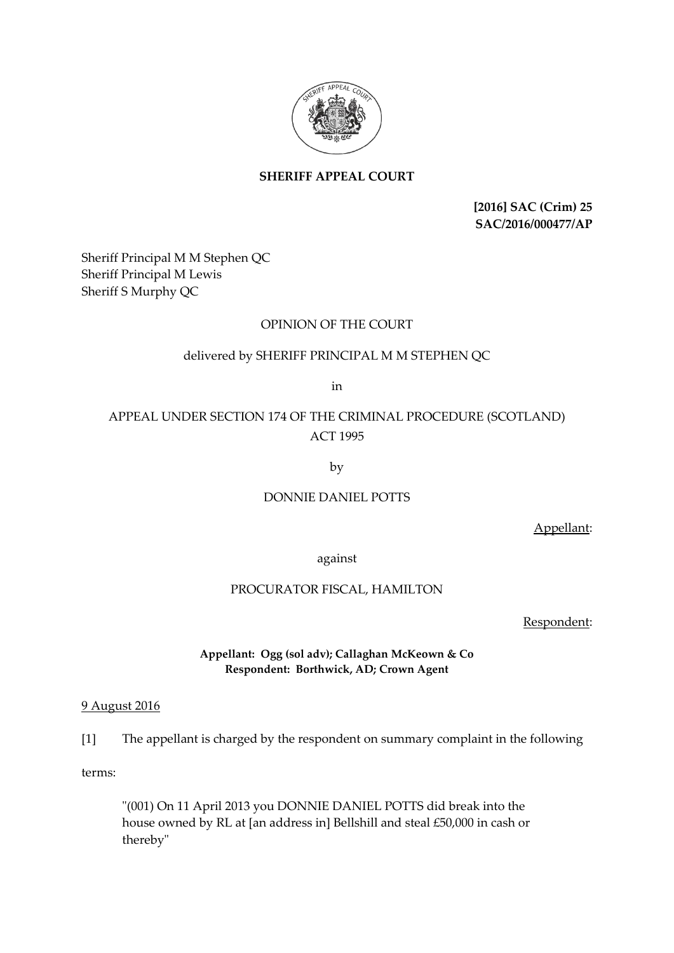

# **SHERIFF APPEAL COURT**

**[2016] SAC (Crim) 25 SAC/2016/000477/AP**

Sheriff Principal M M Stephen QC Sheriff Principal M Lewis Sheriff S Murphy QC

# OPINION OF THE COURT

## delivered by SHERIFF PRINCIPAL M M STEPHEN QC

in

# APPEAL UNDER SECTION 174 OF THE CRIMINAL PROCEDURE (SCOTLAND) ACT 1995

by

## DONNIE DANIEL POTTS

Appellant:

against

### PROCURATOR FISCAL, HAMILTON

Respondent:

## **Appellant: Ogg (sol adv); Callaghan McKeown & Co Respondent: Borthwick, AD; Crown Agent**

## 9 August 2016

[1] The appellant is charged by the respondent on summary complaint in the following

terms:

"(001) On 11 April 2013 you DONNIE DANIEL POTTS did break into the house owned by RL at [an address in] Bellshill and steal £50,000 in cash or thereby"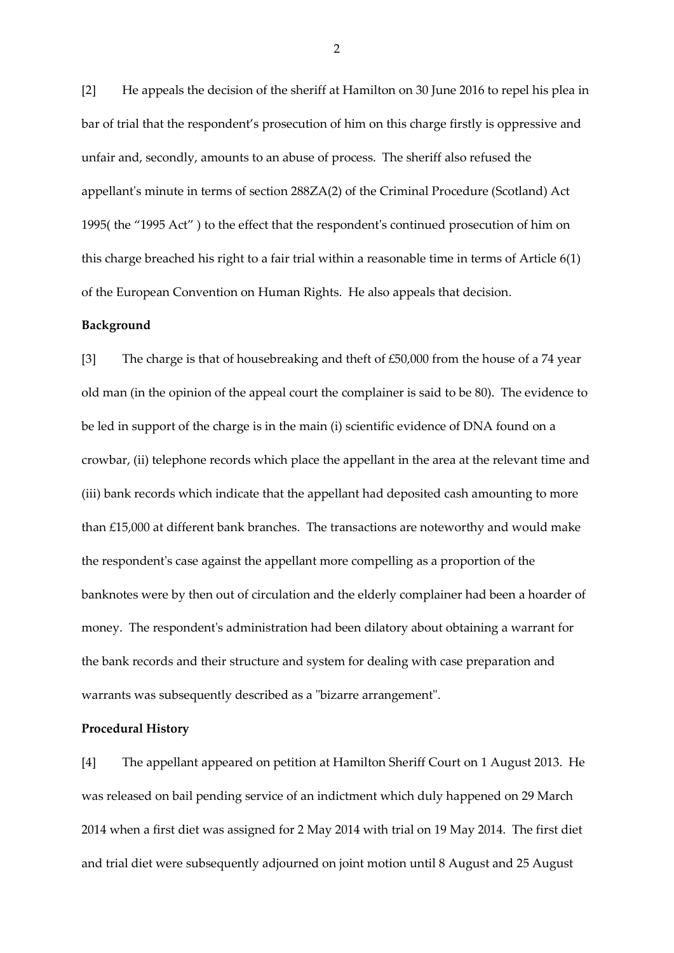[2] He appeals the decision of the sheriff at Hamilton on 30 June 2016 to repel his plea in bar of trial that the respondent's prosecution of him on this charge firstly is oppressive and unfair and, secondly, amounts to an abuse of process. The sheriff also refused the appellant's minute in terms of section 288ZA(2) of the Criminal Procedure (Scotland) Act 1995( the "1995 Act" ) to the effect that the respondent's continued prosecution of him on this charge breached his right to a fair trial within a reasonable time in terms of Article 6(1) of the European Convention on Human Rights. He also appeals that decision.

#### **Background**

[3] The charge is that of housebreaking and theft of £50,000 from the house of a 74 year old man (in the opinion of the appeal court the complainer is said to be 80). The evidence to be led in support of the charge is in the main (i) scientific evidence of DNA found on a crowbar, (ii) telephone records which place the appellant in the area at the relevant time and (iii) bank records which indicate that the appellant had deposited cash amounting to more than £15,000 at different bank branches. The transactions are noteworthy and would make the respondent's case against the appellant more compelling as a proportion of the banknotes were by then out of circulation and the elderly complainer had been a hoarder of money. The respondent's administration had been dilatory about obtaining a warrant for the bank records and their structure and system for dealing with case preparation and warrants was subsequently described as a "bizarre arrangement".

#### **Procedural History**

[4] The appellant appeared on petition at Hamilton Sheriff Court on 1 August 2013. He was released on bail pending service of an indictment which duly happened on 29 March 2014 when a first diet was assigned for 2 May 2014 with trial on 19 May 2014. The first diet and trial diet were subsequently adjourned on joint motion until 8 August and 25 August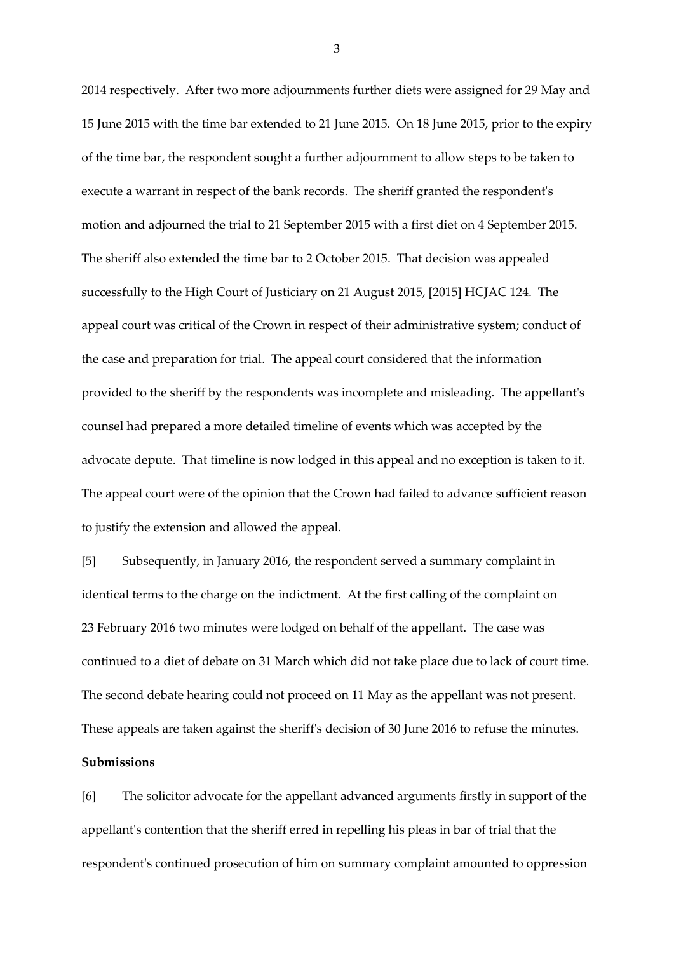2014 respectively. After two more adjournments further diets were assigned for 29 May and 15 June 2015 with the time bar extended to 21 June 2015. On 18 June 2015, prior to the expiry of the time bar, the respondent sought a further adjournment to allow steps to be taken to execute a warrant in respect of the bank records. The sheriff granted the respondent's motion and adjourned the trial to 21 September 2015 with a first diet on 4 September 2015. The sheriff also extended the time bar to 2 October 2015. That decision was appealed successfully to the High Court of Justiciary on 21 August 2015, [2015] HCJAC 124. The appeal court was critical of the Crown in respect of their administrative system; conduct of the case and preparation for trial. The appeal court considered that the information provided to the sheriff by the respondents was incomplete and misleading. The appellant's counsel had prepared a more detailed timeline of events which was accepted by the advocate depute. That timeline is now lodged in this appeal and no exception is taken to it. The appeal court were of the opinion that the Crown had failed to advance sufficient reason to justify the extension and allowed the appeal.

[5] Subsequently, in January 2016, the respondent served a summary complaint in identical terms to the charge on the indictment. At the first calling of the complaint on 23 February 2016 two minutes were lodged on behalf of the appellant. The case was continued to a diet of debate on 31 March which did not take place due to lack of court time. The second debate hearing could not proceed on 11 May as the appellant was not present. These appeals are taken against the sheriff's decision of 30 June 2016 to refuse the minutes. **Submissions**

[6] The solicitor advocate for the appellant advanced arguments firstly in support of the appellant's contention that the sheriff erred in repelling his pleas in bar of trial that the respondent's continued prosecution of him on summary complaint amounted to oppression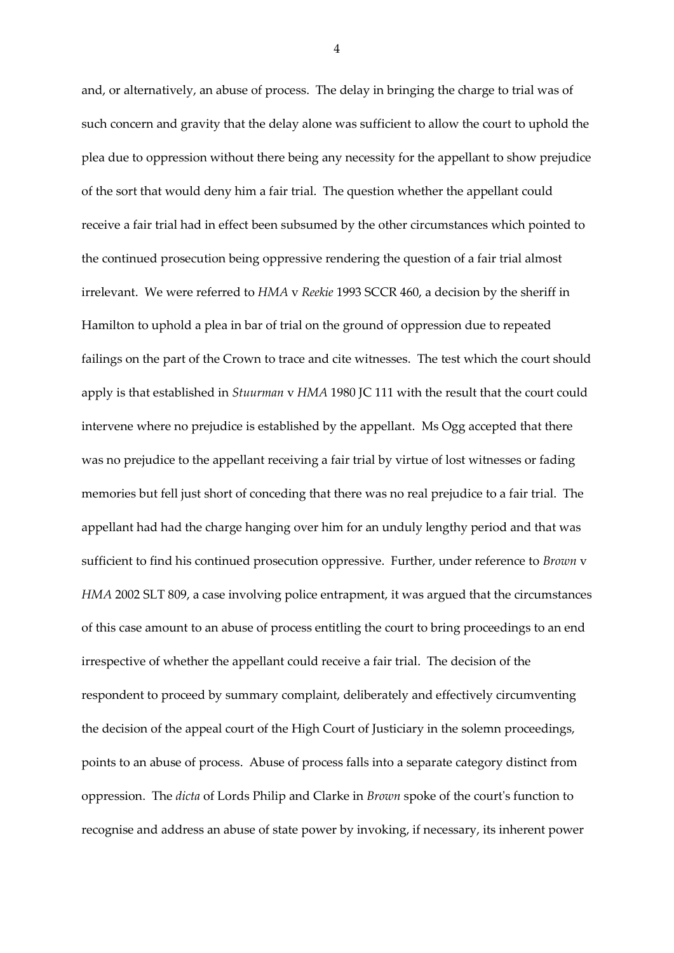and, or alternatively, an abuse of process. The delay in bringing the charge to trial was of such concern and gravity that the delay alone was sufficient to allow the court to uphold the plea due to oppression without there being any necessity for the appellant to show prejudice of the sort that would deny him a fair trial. The question whether the appellant could receive a fair trial had in effect been subsumed by the other circumstances which pointed to the continued prosecution being oppressive rendering the question of a fair trial almost irrelevant. We were referred to *HMA* v *Reekie* 1993 SCCR 460, a decision by the sheriff in Hamilton to uphold a plea in bar of trial on the ground of oppression due to repeated failings on the part of the Crown to trace and cite witnesses. The test which the court should apply is that established in *Stuurman* v *HMA* 1980 JC 111 with the result that the court could intervene where no prejudice is established by the appellant. Ms Ogg accepted that there was no prejudice to the appellant receiving a fair trial by virtue of lost witnesses or fading memories but fell just short of conceding that there was no real prejudice to a fair trial. The appellant had had the charge hanging over him for an unduly lengthy period and that was sufficient to find his continued prosecution oppressive. Further, under reference to *Brown* v *HMA* 2002 SLT 809, a case involving police entrapment, it was argued that the circumstances of this case amount to an abuse of process entitling the court to bring proceedings to an end irrespective of whether the appellant could receive a fair trial. The decision of the respondent to proceed by summary complaint, deliberately and effectively circumventing the decision of the appeal court of the High Court of Justiciary in the solemn proceedings, points to an abuse of process. Abuse of process falls into a separate category distinct from oppression. The *dicta* of Lords Philip and Clarke in *Brown* spoke of the court's function to recognise and address an abuse of state power by invoking, if necessary, its inherent power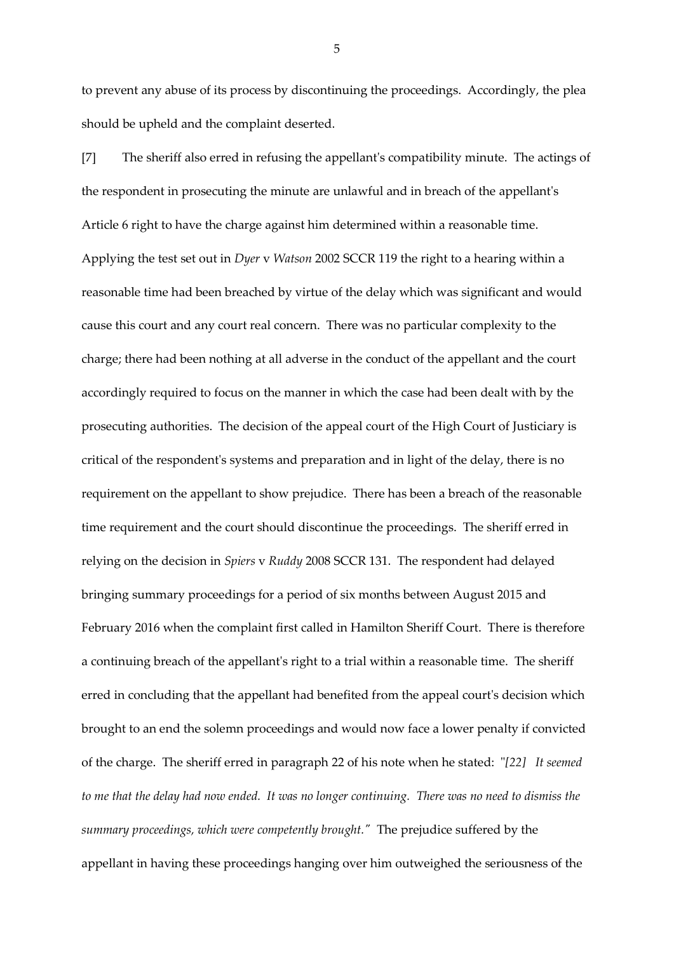to prevent any abuse of its process by discontinuing the proceedings. Accordingly, the plea should be upheld and the complaint deserted.

[7] The sheriff also erred in refusing the appellant's compatibility minute. The actings of the respondent in prosecuting the minute are unlawful and in breach of the appellant's Article 6 right to have the charge against him determined within a reasonable time. Applying the test set out in *Dyer* v *Watson* 2002 SCCR 119 the right to a hearing within a reasonable time had been breached by virtue of the delay which was significant and would cause this court and any court real concern. There was no particular complexity to the charge; there had been nothing at all adverse in the conduct of the appellant and the court accordingly required to focus on the manner in which the case had been dealt with by the prosecuting authorities. The decision of the appeal court of the High Court of Justiciary is critical of the respondent's systems and preparation and in light of the delay, there is no requirement on the appellant to show prejudice. There has been a breach of the reasonable time requirement and the court should discontinue the proceedings. The sheriff erred in relying on the decision in *Spiers* v *Ruddy* 2008 SCCR 131. The respondent had delayed bringing summary proceedings for a period of six months between August 2015 and February 2016 when the complaint first called in Hamilton Sheriff Court. There is therefore a continuing breach of the appellant's right to a trial within a reasonable time. The sheriff erred in concluding that the appellant had benefited from the appeal court's decision which brought to an end the solemn proceedings and would now face a lower penalty if convicted of the charge. The sheriff erred in paragraph 22 of his note when he stated: "*[22] It seemed to me that the delay had now ended. It was no longer continuing. There was no need to dismiss the summary proceedings, which were competently brought."* The prejudice suffered by the appellant in having these proceedings hanging over him outweighed the seriousness of the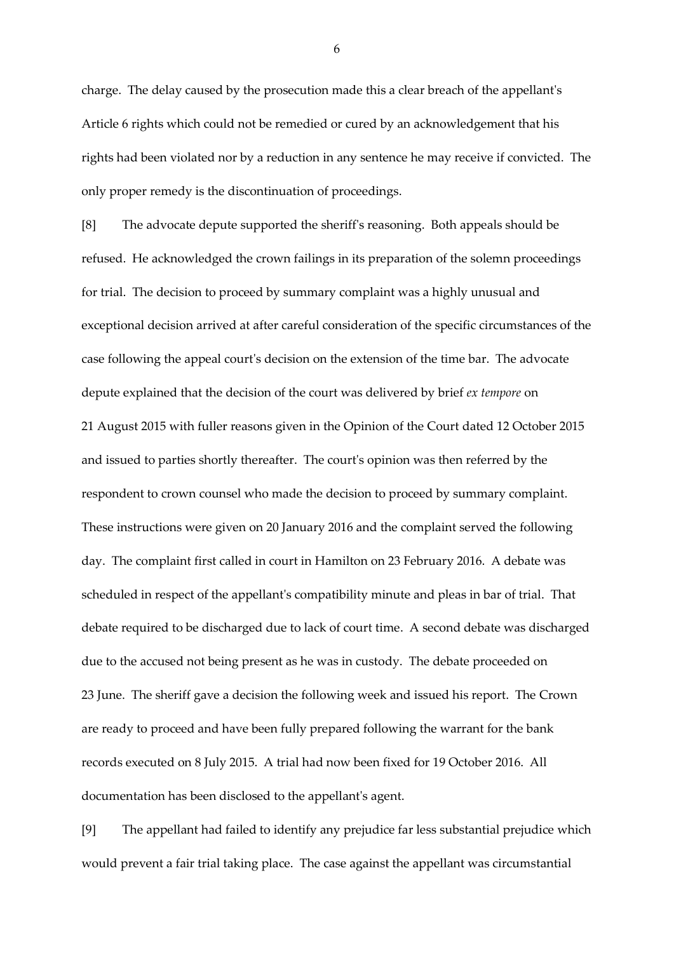charge. The delay caused by the prosecution made this a clear breach of the appellant's Article 6 rights which could not be remedied or cured by an acknowledgement that his rights had been violated nor by a reduction in any sentence he may receive if convicted. The only proper remedy is the discontinuation of proceedings.

[8] The advocate depute supported the sheriff's reasoning. Both appeals should be refused. He acknowledged the crown failings in its preparation of the solemn proceedings for trial. The decision to proceed by summary complaint was a highly unusual and exceptional decision arrived at after careful consideration of the specific circumstances of the case following the appeal court's decision on the extension of the time bar. The advocate depute explained that the decision of the court was delivered by brief *ex tempore* on 21 August 2015 with fuller reasons given in the Opinion of the Court dated 12 October 2015 and issued to parties shortly thereafter. The court's opinion was then referred by the respondent to crown counsel who made the decision to proceed by summary complaint. These instructions were given on 20 January 2016 and the complaint served the following day. The complaint first called in court in Hamilton on 23 February 2016. A debate was scheduled in respect of the appellant's compatibility minute and pleas in bar of trial. That debate required to be discharged due to lack of court time. A second debate was discharged due to the accused not being present as he was in custody. The debate proceeded on 23 June. The sheriff gave a decision the following week and issued his report. The Crown are ready to proceed and have been fully prepared following the warrant for the bank records executed on 8 July 2015. A trial had now been fixed for 19 October 2016. All documentation has been disclosed to the appellant's agent.

[9] The appellant had failed to identify any prejudice far less substantial prejudice which would prevent a fair trial taking place. The case against the appellant was circumstantial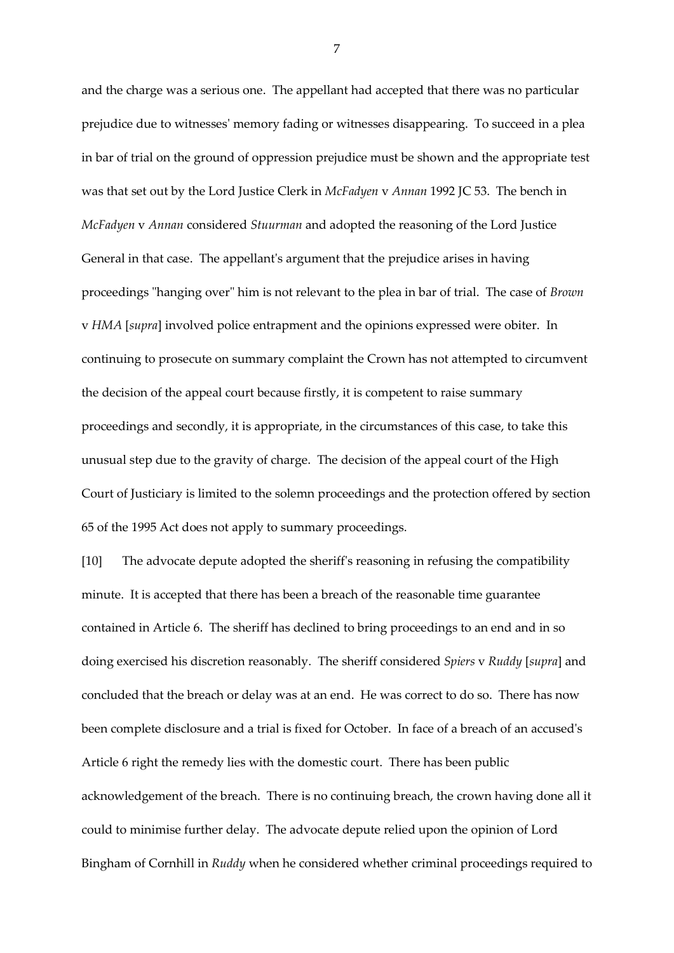and the charge was a serious one. The appellant had accepted that there was no particular prejudice due to witnesses' memory fading or witnesses disappearing. To succeed in a plea in bar of trial on the ground of oppression prejudice must be shown and the appropriate test was that set out by the Lord Justice Clerk in *McFadyen* v *Annan* 1992 JC 53. The bench in *McFadyen* v *Annan* considered *Stuurman* and adopted the reasoning of the Lord Justice General in that case. The appellant's argument that the prejudice arises in having proceedings "hanging over" him is not relevant to the plea in bar of trial. The case of *Brown* v *HMA* [*supra*] involved police entrapment and the opinions expressed were obiter. In continuing to prosecute on summary complaint the Crown has not attempted to circumvent the decision of the appeal court because firstly, it is competent to raise summary proceedings and secondly, it is appropriate, in the circumstances of this case, to take this unusual step due to the gravity of charge. The decision of the appeal court of the High Court of Justiciary is limited to the solemn proceedings and the protection offered by section 65 of the 1995 Act does not apply to summary proceedings.

[10] The advocate depute adopted the sheriff's reasoning in refusing the compatibility minute. It is accepted that there has been a breach of the reasonable time guarantee contained in Article 6. The sheriff has declined to bring proceedings to an end and in so doing exercised his discretion reasonably. The sheriff considered *Spiers* v *Ruddy* [*supra*] and concluded that the breach or delay was at an end. He was correct to do so. There has now been complete disclosure and a trial is fixed for October. In face of a breach of an accused's Article 6 right the remedy lies with the domestic court. There has been public acknowledgement of the breach. There is no continuing breach, the crown having done all it could to minimise further delay. The advocate depute relied upon the opinion of Lord Bingham of Cornhill in *Ruddy* when he considered whether criminal proceedings required to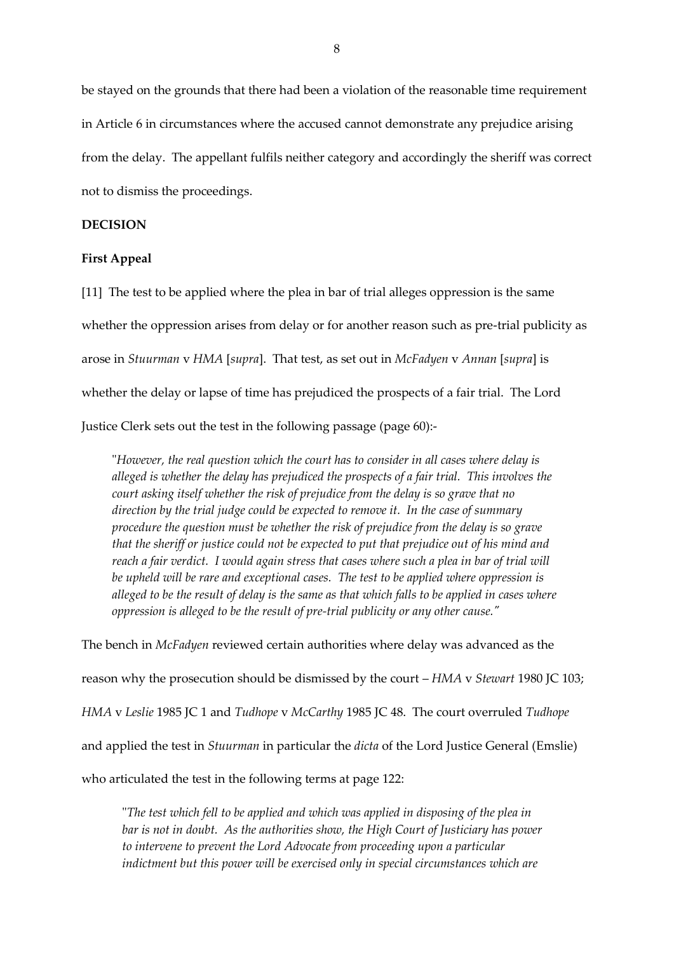be stayed on the grounds that there had been a violation of the reasonable time requirement in Article 6 in circumstances where the accused cannot demonstrate any prejudice arising from the delay. The appellant fulfils neither category and accordingly the sheriff was correct not to dismiss the proceedings.

## **DECISION**

#### **First Appeal**

[11] The test to be applied where the plea in bar of trial alleges oppression is the same whether the oppression arises from delay or for another reason such as pre-trial publicity as arose in *Stuurman* v *HMA* [*supra*]. That test, as set out in *McFadyen* v *Annan* [*supra*] is whether the delay or lapse of time has prejudiced the prospects of a fair trial. The Lord Justice Clerk sets out the test in the following passage (page 60):-

"*However, the real question which the court has to consider in all cases where delay is alleged is whether the delay has prejudiced the prospects of a fair trial. This involves the court asking itself whether the risk of prejudice from the delay is so grave that no direction by the trial judge could be expected to remove it. In the case of summary procedure the question must be whether the risk of prejudice from the delay is so grave that the sheriff or justice could not be expected to put that prejudice out of his mind and reach a fair verdict. I would again stress that cases where such a plea in bar of trial will be upheld will be rare and exceptional cases. The test to be applied where oppression is alleged to be the result of delay is the same as that which falls to be applied in cases where oppression is alleged to be the result of pre-trial publicity or any other cause."*

The bench in *McFadyen* reviewed certain authorities where delay was advanced as the reason why the prosecution should be dismissed by the court – *HMA* v *Stewart* 1980 JC 103; *HMA* v *Leslie* 1985 JC 1 and *Tudhope* v *McCarthy* 1985 JC 48. The court overruled *Tudhope* and applied the test in *Stuurman* in particular the *dicta* of the Lord Justice General (Emslie) who articulated the test in the following terms at page 122:

"*The test which fell to be applied and which was applied in disposing of the plea in bar is not in doubt. As the authorities show, the High Court of Justiciary has power to intervene to prevent the Lord Advocate from proceeding upon a particular indictment but this power will be exercised only in special circumstances which are*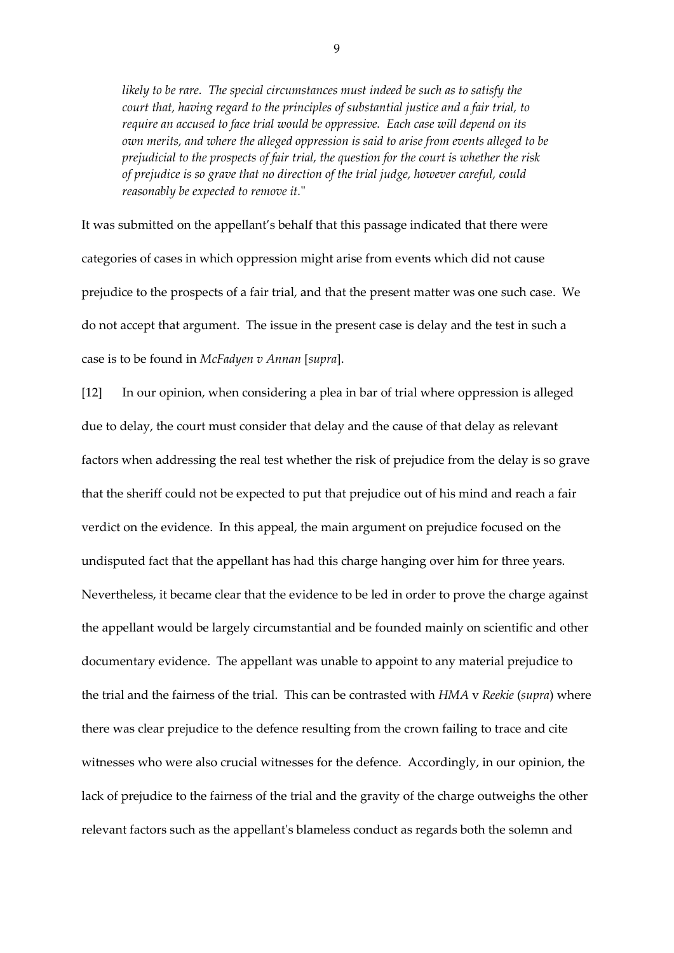*likely to be rare. The special circumstances must indeed be such as to satisfy the court that, having regard to the principles of substantial justice and a fair trial, to require an accused to face trial would be oppressive. Each case will depend on its own merits, and where the alleged oppression is said to arise from events alleged to be prejudicial to the prospects of fair trial, the question for the court is whether the risk of prejudice is so grave that no direction of the trial judge, however careful, could reasonably be expected to remove it.*"

It was submitted on the appellant's behalf that this passage indicated that there were categories of cases in which oppression might arise from events which did not cause prejudice to the prospects of a fair trial, and that the present matter was one such case. We do not accept that argument. The issue in the present case is delay and the test in such a case is to be found in *McFadyen v Annan* [*supra*].

[12] In our opinion, when considering a plea in bar of trial where oppression is alleged due to delay, the court must consider that delay and the cause of that delay as relevant factors when addressing the real test whether the risk of prejudice from the delay is so grave that the sheriff could not be expected to put that prejudice out of his mind and reach a fair verdict on the evidence. In this appeal, the main argument on prejudice focused on the undisputed fact that the appellant has had this charge hanging over him for three years. Nevertheless, it became clear that the evidence to be led in order to prove the charge against the appellant would be largely circumstantial and be founded mainly on scientific and other documentary evidence. The appellant was unable to appoint to any material prejudice to the trial and the fairness of the trial. This can be contrasted with *HMA* v *Reekie* (*supra*) where there was clear prejudice to the defence resulting from the crown failing to trace and cite witnesses who were also crucial witnesses for the defence. Accordingly, in our opinion, the lack of prejudice to the fairness of the trial and the gravity of the charge outweighs the other relevant factors such as the appellant's blameless conduct as regards both the solemn and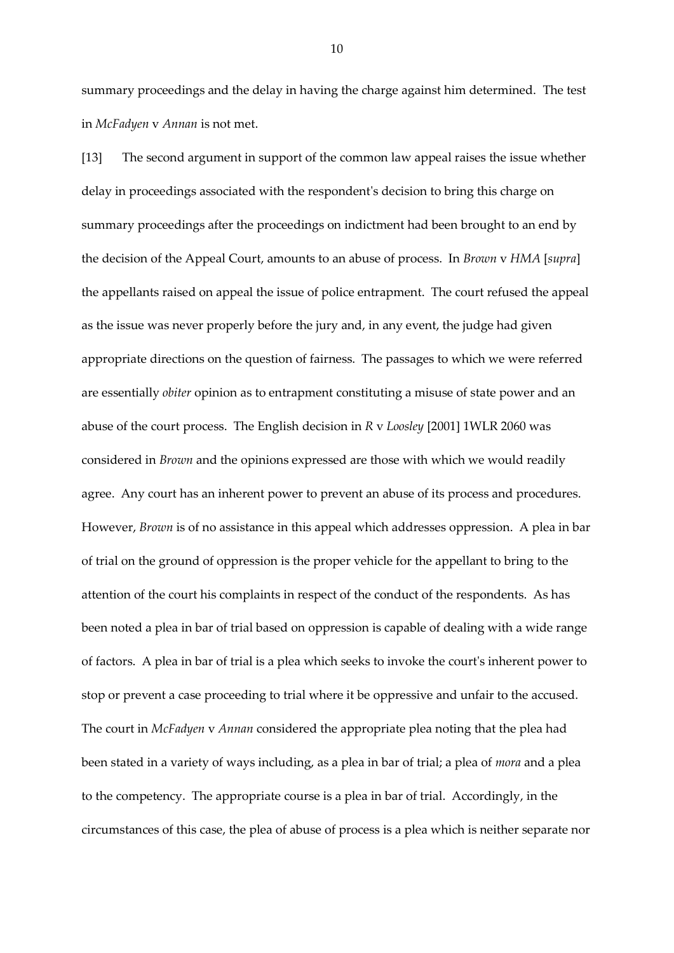summary proceedings and the delay in having the charge against him determined. The test in *McFadyen* v *Annan* is not met.

[13] The second argument in support of the common law appeal raises the issue whether delay in proceedings associated with the respondent's decision to bring this charge on summary proceedings after the proceedings on indictment had been brought to an end by the decision of the Appeal Court, amounts to an abuse of process. In *Brown* v *HMA* [*supra*] the appellants raised on appeal the issue of police entrapment. The court refused the appeal as the issue was never properly before the jury and, in any event, the judge had given appropriate directions on the question of fairness. The passages to which we were referred are essentially *obiter* opinion as to entrapment constituting a misuse of state power and an abuse of the court process. The English decision in *R* v *Loosley* [2001] 1WLR 2060 was considered in *Brown* and the opinions expressed are those with which we would readily agree. Any court has an inherent power to prevent an abuse of its process and procedures. However, *Brown* is of no assistance in this appeal which addresses oppression. A plea in bar of trial on the ground of oppression is the proper vehicle for the appellant to bring to the attention of the court his complaints in respect of the conduct of the respondents. As has been noted a plea in bar of trial based on oppression is capable of dealing with a wide range of factors. A plea in bar of trial is a plea which seeks to invoke the court's inherent power to stop or prevent a case proceeding to trial where it be oppressive and unfair to the accused. The court in *McFadyen* v *Annan* considered the appropriate plea noting that the plea had been stated in a variety of ways including, as a plea in bar of trial; a plea of *mora* and a plea to the competency. The appropriate course is a plea in bar of trial. Accordingly, in the circumstances of this case, the plea of abuse of process is a plea which is neither separate nor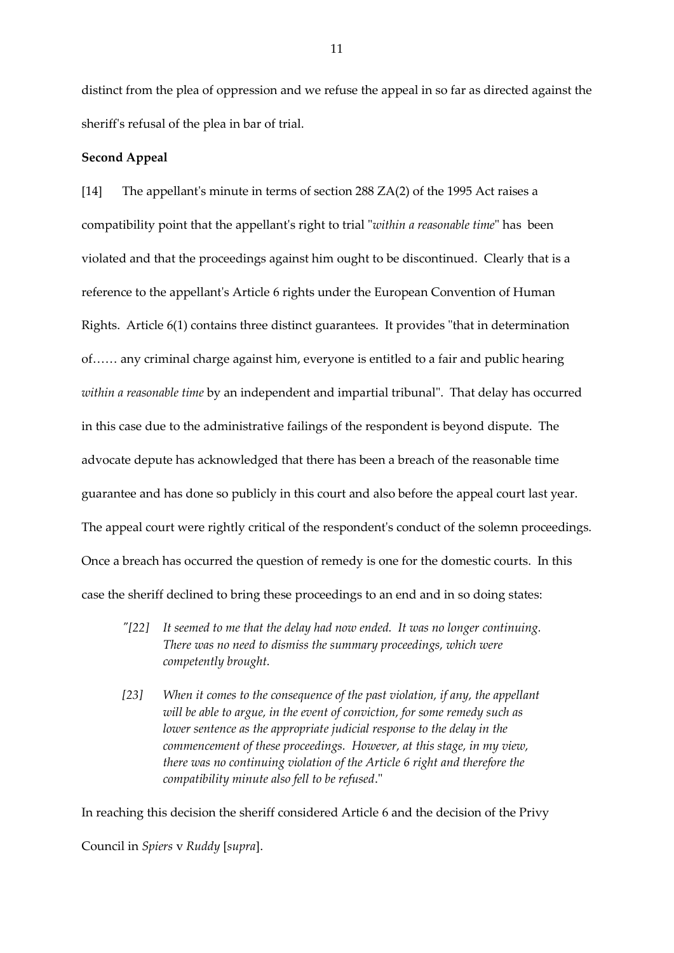distinct from the plea of oppression and we refuse the appeal in so far as directed against the sheriff's refusal of the plea in bar of trial.

## **Second Appeal**

[14] The appellant's minute in terms of section 288 ZA(2) of the 1995 Act raises a compatibility point that the appellant's right to trial "*within a reasonable time*" has been violated and that the proceedings against him ought to be discontinued. Clearly that is a reference to the appellant's Article 6 rights under the European Convention of Human Rights. Article 6(1) contains three distinct guarantees. It provides "that in determination of…… any criminal charge against him, everyone is entitled to a fair and public hearing *within a reasonable time* by an independent and impartial tribunal". That delay has occurred in this case due to the administrative failings of the respondent is beyond dispute. The advocate depute has acknowledged that there has been a breach of the reasonable time guarantee and has done so publicly in this court and also before the appeal court last year. The appeal court were rightly critical of the respondent's conduct of the solemn proceedings. Once a breach has occurred the question of remedy is one for the domestic courts. In this case the sheriff declined to bring these proceedings to an end and in so doing states:

- *"[22] It seemed to me that the delay had now ended. It was no longer continuing. There was no need to dismiss the summary proceedings, which were competently brought.*
- *[23] When it comes to the consequence of the past violation, if any, the appellant will be able to argue, in the event of conviction, for some remedy such as lower sentence as the appropriate judicial response to the delay in the commencement of these proceedings. However, at this stage, in my view, there was no continuing violation of the Article 6 right and therefore the compatibility minute also fell to be refused*."

In reaching this decision the sheriff considered Article 6 and the decision of the Privy Council in *Spiers* v *Ruddy* [*supra*].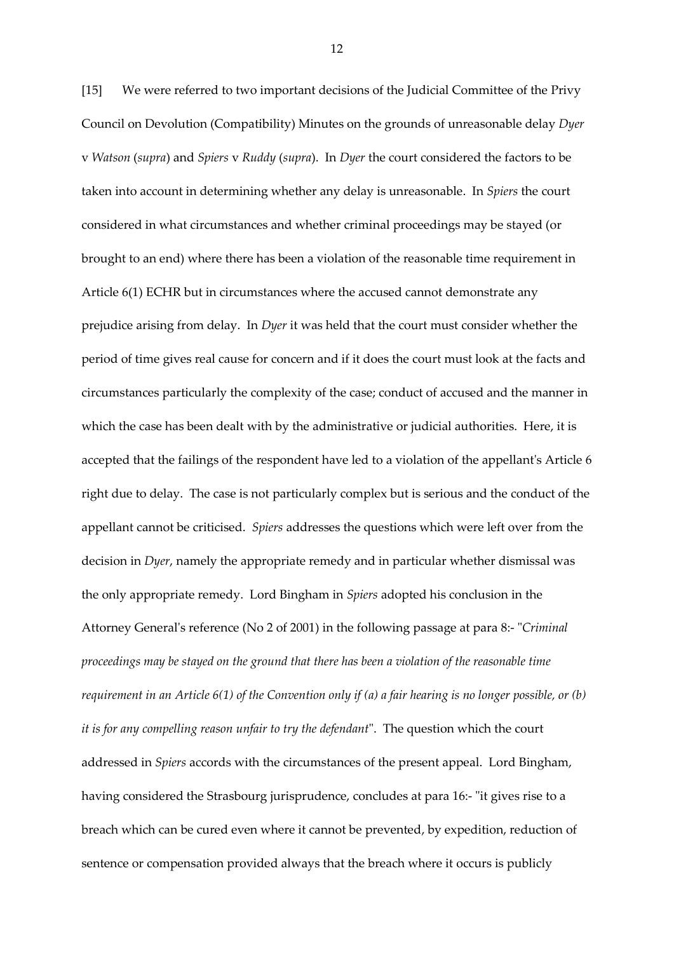[15] We were referred to two important decisions of the Judicial Committee of the Privy Council on Devolution (Compatibility) Minutes on the grounds of unreasonable delay *Dyer* v *Watson* (*supra*) and *Spiers* v *Ruddy* (*supra*). In *Dyer* the court considered the factors to be taken into account in determining whether any delay is unreasonable. In *Spiers* the court considered in what circumstances and whether criminal proceedings may be stayed (or brought to an end) where there has been a violation of the reasonable time requirement in Article 6(1) ECHR but in circumstances where the accused cannot demonstrate any prejudice arising from delay. In *Dyer* it was held that the court must consider whether the period of time gives real cause for concern and if it does the court must look at the facts and circumstances particularly the complexity of the case; conduct of accused and the manner in which the case has been dealt with by the administrative or judicial authorities. Here, it is accepted that the failings of the respondent have led to a violation of the appellant's Article 6 right due to delay. The case is not particularly complex but is serious and the conduct of the appellant cannot be criticised. *Spiers* addresses the questions which were left over from the decision in *Dyer*, namely the appropriate remedy and in particular whether dismissal was the only appropriate remedy. Lord Bingham in *Spiers* adopted his conclusion in the Attorney General's reference (No 2 of 2001) in the following passage at para 8:- "*Criminal proceedings may be stayed on the ground that there has been a violation of the reasonable time requirement in an Article 6(1) of the Convention only if (a) a fair hearing is no longer possible, or (b) it is for any compelling reason unfair to try the defendant*". The question which the court addressed in *Spiers* accords with the circumstances of the present appeal. Lord Bingham, having considered the Strasbourg jurisprudence, concludes at para 16:- "it gives rise to a breach which can be cured even where it cannot be prevented, by expedition, reduction of sentence or compensation provided always that the breach where it occurs is publicly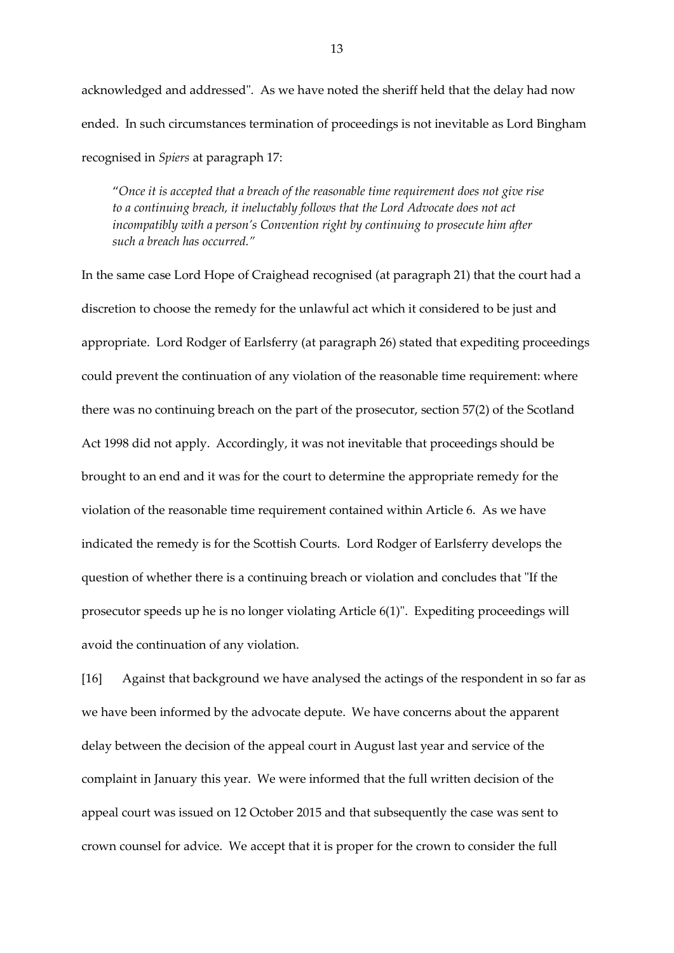acknowledged and addressed". As we have noted the sheriff held that the delay had now ended. In such circumstances termination of proceedings is not inevitable as Lord Bingham recognised in *Spiers* at paragraph 17:

"*Once it is accepted that a breach of the reasonable time requirement does not give rise to a continuing breach, it ineluctably follows that the Lord Advocate does not act incompatibly with a person's Convention right by continuing to prosecute him after such a breach has occurred."*

In the same case Lord Hope of Craighead recognised (at paragraph 21) that the court had a discretion to choose the remedy for the unlawful act which it considered to be just and appropriate. Lord Rodger of Earlsferry (at paragraph 26) stated that expediting proceedings could prevent the continuation of any violation of the reasonable time requirement: where there was no continuing breach on the part of the prosecutor, section 57(2) of the Scotland Act 1998 did not apply. Accordingly, it was not inevitable that proceedings should be brought to an end and it was for the court to determine the appropriate remedy for the violation of the reasonable time requirement contained within Article 6. As we have indicated the remedy is for the Scottish Courts. Lord Rodger of Earlsferry develops the question of whether there is a continuing breach or violation and concludes that "If the prosecutor speeds up he is no longer violating Article 6(1)". Expediting proceedings will avoid the continuation of any violation.

[16] Against that background we have analysed the actings of the respondent in so far as we have been informed by the advocate depute. We have concerns about the apparent delay between the decision of the appeal court in August last year and service of the complaint in January this year. We were informed that the full written decision of the appeal court was issued on 12 October 2015 and that subsequently the case was sent to crown counsel for advice. We accept that it is proper for the crown to consider the full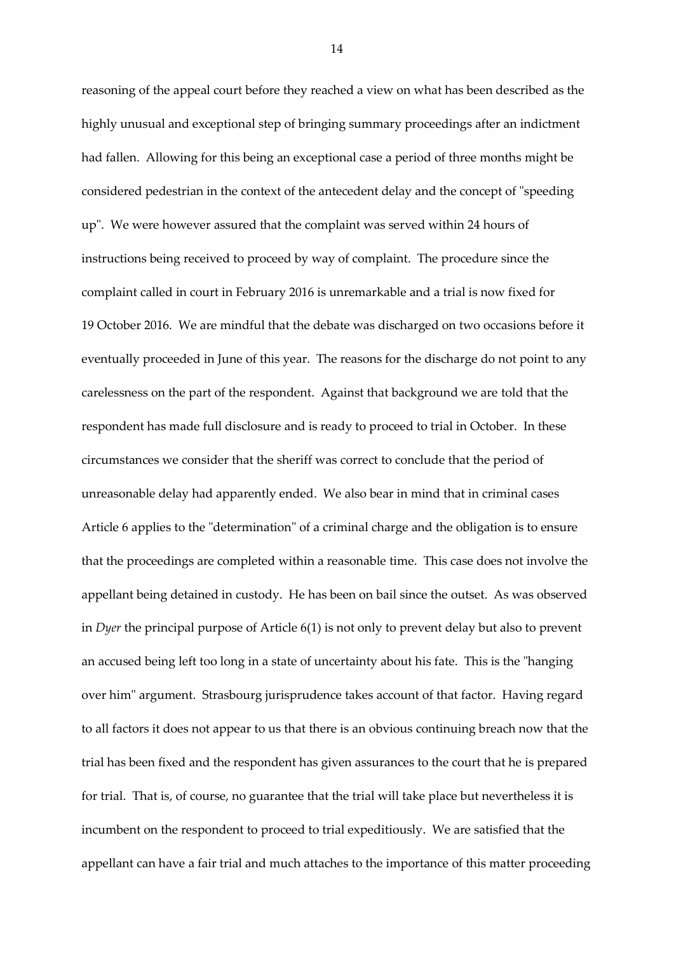reasoning of the appeal court before they reached a view on what has been described as the highly unusual and exceptional step of bringing summary proceedings after an indictment had fallen. Allowing for this being an exceptional case a period of three months might be considered pedestrian in the context of the antecedent delay and the concept of "speeding up". We were however assured that the complaint was served within 24 hours of instructions being received to proceed by way of complaint. The procedure since the complaint called in court in February 2016 is unremarkable and a trial is now fixed for 19 October 2016. We are mindful that the debate was discharged on two occasions before it eventually proceeded in June of this year. The reasons for the discharge do not point to any carelessness on the part of the respondent. Against that background we are told that the respondent has made full disclosure and is ready to proceed to trial in October. In these circumstances we consider that the sheriff was correct to conclude that the period of unreasonable delay had apparently ended. We also bear in mind that in criminal cases Article 6 applies to the "determination" of a criminal charge and the obligation is to ensure that the proceedings are completed within a reasonable time. This case does not involve the appellant being detained in custody. He has been on bail since the outset. As was observed in *Dyer* the principal purpose of Article 6(1) is not only to prevent delay but also to prevent an accused being left too long in a state of uncertainty about his fate. This is the "hanging over him" argument. Strasbourg jurisprudence takes account of that factor. Having regard to all factors it does not appear to us that there is an obvious continuing breach now that the trial has been fixed and the respondent has given assurances to the court that he is prepared for trial. That is, of course, no guarantee that the trial will take place but nevertheless it is incumbent on the respondent to proceed to trial expeditiously. We are satisfied that the appellant can have a fair trial and much attaches to the importance of this matter proceeding